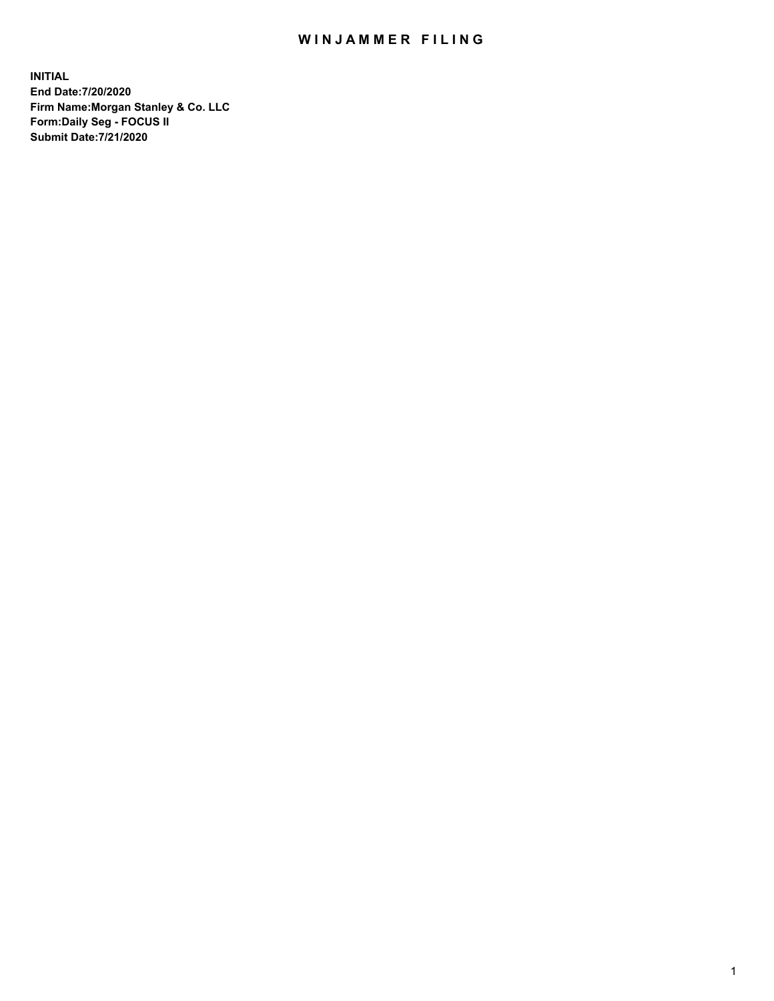## WIN JAMMER FILING

**INITIAL End Date:7/20/2020 Firm Name:Morgan Stanley & Co. LLC Form:Daily Seg - FOCUS II Submit Date:7/21/2020**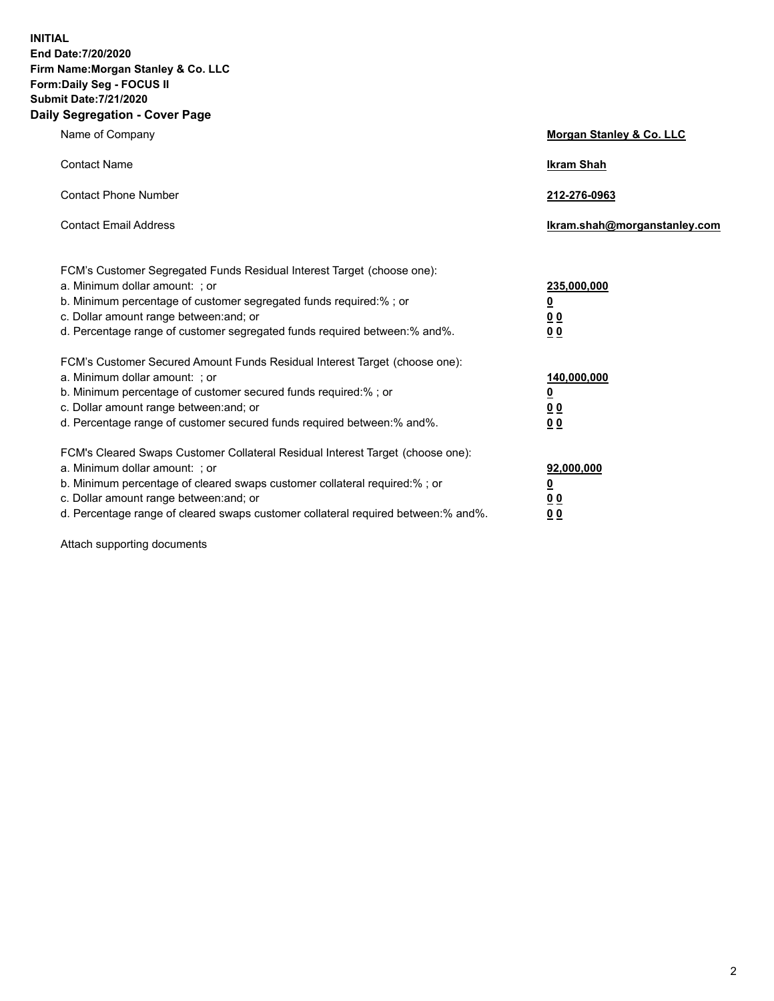**INITIAL End Date:7/20/2020 Firm Name:Morgan Stanley & Co. LLC Form:Daily Seg - FOCUS II Submit Date:7/21/2020 Daily Segregation - Cover Page**

| Name of Company                                                                                                                                                                                                                                                                                                                | <b>Morgan Stanley &amp; Co. LLC</b>                     |
|--------------------------------------------------------------------------------------------------------------------------------------------------------------------------------------------------------------------------------------------------------------------------------------------------------------------------------|---------------------------------------------------------|
| <b>Contact Name</b>                                                                                                                                                                                                                                                                                                            | <b>Ikram Shah</b>                                       |
| <b>Contact Phone Number</b>                                                                                                                                                                                                                                                                                                    | 212-276-0963                                            |
| <b>Contact Email Address</b>                                                                                                                                                                                                                                                                                                   | Ikram.shah@morganstanley.com                            |
| FCM's Customer Segregated Funds Residual Interest Target (choose one):<br>a. Minimum dollar amount: ; or<br>b. Minimum percentage of customer segregated funds required:% ; or<br>c. Dollar amount range between: and; or                                                                                                      | 235,000,000<br><u>0</u><br><u>00</u>                    |
| d. Percentage range of customer segregated funds required between:% and%.<br>FCM's Customer Secured Amount Funds Residual Interest Target (choose one):                                                                                                                                                                        | 0 <sup>0</sup>                                          |
| a. Minimum dollar amount: ; or<br>b. Minimum percentage of customer secured funds required:%; or<br>c. Dollar amount range between: and; or<br>d. Percentage range of customer secured funds required between: % and %.                                                                                                        | 140,000,000<br><u>0</u><br><u>0 0</u><br>0 <sub>0</sub> |
| FCM's Cleared Swaps Customer Collateral Residual Interest Target (choose one):<br>a. Minimum dollar amount: ; or<br>b. Minimum percentage of cleared swaps customer collateral required:% ; or<br>c. Dollar amount range between: and; or<br>d. Percentage range of cleared swaps customer collateral required between:% and%. | 92,000,000<br><u>0</u><br>0 Q<br>0 <sub>0</sub>         |

Attach supporting documents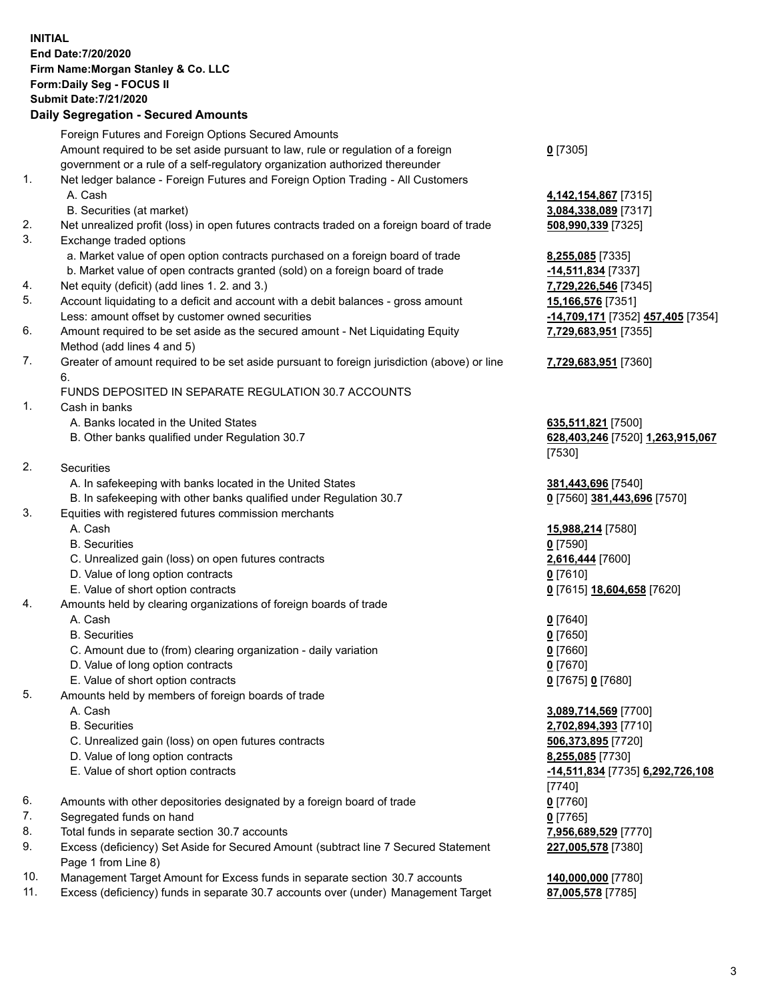## **INITIAL End Date:7/20/2020 Firm Name:Morgan Stanley & Co. LLC Form:Daily Seg - FOCUS II Submit Date:7/21/2020 Daily Segregation - Secured Amounts** Foreign Futures and Foreign Options Secured Amounts Amount required to be set aside pursuant to law, rule or regulation of a foreign government or a rule of a self-regulatory organization authorized thereunder 1. Net ledger balance - Foreign Futures and Foreign Option Trading - All Customers A. Cash **4,142,154,867** [7315] B. Securities (at market) **3,084,338,089** [7317] 2. Net unrealized profit (loss) in open futures contracts traded on a foreign board of trade **508,990,339** [7325] 3. Exchange traded options a. Market value of open option contracts purchased on a foreign board of trade **8,255,085** [7335] b. Market value of open contracts granted (sold) on a foreign board of trade **-14,511,834** [7337] 4. Net equity (deficit) (add lines 1. 2. and 3.) **7,729,226,546** [7345] 5. Account liquidating to a deficit and account with a debit balances - gross amount **15,166,576** [7351] Less: amount offset by customer owned securities **-14,709,171** [7352] **457,405** [7354] 6. Amount required to be set aside as the secured amount - Net Liquidating Equity Method (add lines 4 and 5) 7. Greater of amount required to be set aside pursuant to foreign jurisdiction (above) or line 6. FUNDS DEPOSITED IN SEPARATE REGULATION 30.7 ACCOUNTS 1. Cash in banks A. Banks located in the United States **635,511,821** [7500] B. Other banks qualified under Regulation 30.7 **628,403,246** [7520] **1,263,915,067** 2. Securities A. In safekeeping with banks located in the United States **381,443,696** [7540] B. In safekeeping with other banks qualified under Regulation 30.7 **0** [7560] **381,443,696** [7570] 3. Equities with registered futures commission merchants A. Cash **15,988,214** [7580] B. Securities **0** [7590] C. Unrealized gain (loss) on open futures contracts **2,616,444** [7600] D. Value of long option contracts **0** [7610] E. Value of short option contracts **0** [7615] **18,604,658** [7620] 4. Amounts held by clearing organizations of foreign boards of trade A. Cash **0** [7640] B. Securities **0** [7650]

- C. Amount due to (from) clearing organization daily variation **0** [7660]
- D. Value of long option contracts **0** [7670]
- E. Value of short option contracts **0** [7675] **0** [7680]
- 5. Amounts held by members of foreign boards of trade
	-
	-
	- C. Unrealized gain (loss) on open futures contracts **506,373,895** [7720]
	- D. Value of long option contracts **8,255,085** [7730]
	-
- 6. Amounts with other depositories designated by a foreign board of trade **0** [7760]
- 7. Segregated funds on hand **0** [7765]
- 8. Total funds in separate section 30.7 accounts **7,956,689,529** [7770]
- 9. Excess (deficiency) Set Aside for Secured Amount (subtract line 7 Secured Statement Page 1 from Line 8)
- 10. Management Target Amount for Excess funds in separate section 30.7 accounts **140,000,000** [7780]
- 11. Excess (deficiency) funds in separate 30.7 accounts over (under) Management Target **87,005,578** [7785]

**0** [7305]

**7,729,683,951** [7355]

## **7,729,683,951** [7360]

[7530]

 A. Cash **3,089,714,569** [7700] B. Securities **2,702,894,393** [7710] E. Value of short option contracts **-14,511,834** [7735] **6,292,726,108** [7740] **227,005,578** [7380]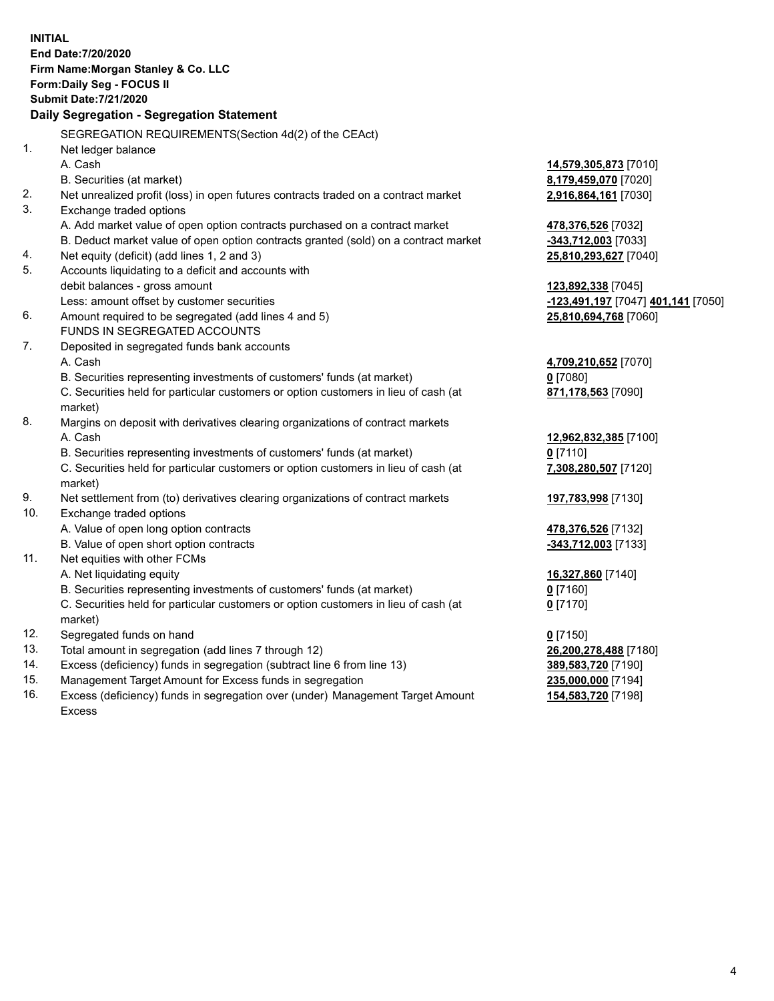**INITIAL End Date:7/20/2020 Firm Name:Morgan Stanley & Co. LLC Form:Daily Seg - FOCUS II Submit Date:7/21/2020 Daily Segregation - Segregation Statement** SEGREGATION REQUIREMENTS(Section 4d(2) of the CEAct) 1. Net ledger balance A. Cash **14,579,305,873** [7010] B. Securities (at market) **8,179,459,070** [7020] 2. Net unrealized profit (loss) in open futures contracts traded on a contract market **2,916,864,161** [7030] 3. Exchange traded options A. Add market value of open option contracts purchased on a contract market **478,376,526** [7032] B. Deduct market value of open option contracts granted (sold) on a contract market **-343,712,003** [7033] 4. Net equity (deficit) (add lines 1, 2 and 3) **25,810,293,627** [7040] 5. Accounts liquidating to a deficit and accounts with debit balances - gross amount **123,892,338** [7045] Less: amount offset by customer securities **-123,491,197** [7047] **401,141** [7050] 6. Amount required to be segregated (add lines 4 and 5) **25,810,694,768** [7060] FUNDS IN SEGREGATED ACCOUNTS 7. Deposited in segregated funds bank accounts A. Cash **4,709,210,652** [7070] B. Securities representing investments of customers' funds (at market) **0** [7080] C. Securities held for particular customers or option customers in lieu of cash (at market) **871,178,563** [7090] 8. Margins on deposit with derivatives clearing organizations of contract markets A. Cash **12,962,832,385** [7100] B. Securities representing investments of customers' funds (at market) **0** [7110] C. Securities held for particular customers or option customers in lieu of cash (at market) **7,308,280,507** [7120] 9. Net settlement from (to) derivatives clearing organizations of contract markets **197,783,998** [7130] 10. Exchange traded options A. Value of open long option contracts **478,376,526** [7132] B. Value of open short option contracts **-343,712,003** [7133] 11. Net equities with other FCMs A. Net liquidating equity **16,327,860** [7140] B. Securities representing investments of customers' funds (at market) **0** [7160] C. Securities held for particular customers or option customers in lieu of cash (at market) **0** [7170] 12. Segregated funds on hand **0** [7150] 13. Total amount in segregation (add lines 7 through 12) **26,200,278,488** [7180] 14. Excess (deficiency) funds in segregation (subtract line 6 from line 13) **389,583,720** [7190] 15. Management Target Amount for Excess funds in segregation **235,000,000** [7194] **154,583,720** [7198]

16. Excess (deficiency) funds in segregation over (under) Management Target Amount Excess